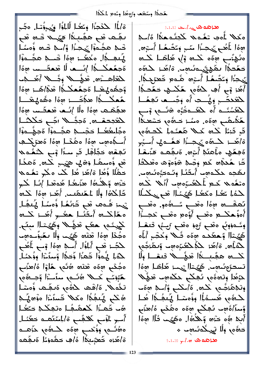هَدَاً وَمَعْمَد وَوَهُمَا وَءُهُمْ لَكُمَّا

ة/بأله حكتجزًا وتحكَّل لَّلْبُوَّا وَيُحِرَّفُهَا. وَجُحِ بعُـم مَــع مــكِّب الْهَـبِــةِ مَــم مَــع مـــم ضَمِ عَجُّوزًا يُجِبُرُا وَّهُ مِنَّا قَدْهِ وُّوسُا لِمُعِكْماً. وَحُمَّـ وَوَٰا تَحْكُمْ هَجَّـوَٰوْا كَجِمُعَكُــــِمَا إِنْـــمَا لَا شَعِظَـــب وَذَا لمقاهشة. تَعَيُّسُما وِئِسْمَا أَهُسْمِهِ وَجِعُولِهَا وَجِعُعِكُدًا شَدَّاهَا : ١٥٥ هَمكْـــدًا مِدَّخَـــــز مِهْا مِثْمِهِــْمِـــل هَجَّعَـْ مِهْ أَلَّا إِنْـمْ شَعَفَـْتَ مِهْ أَ لمُعْجَدَهُــِ بِهِ حَجْـُـِـلا آجُــعِ حَكْـُـُـُـلِّـــا ەجَلىعُعُــا حجَـــــــمْ مجــُـــەوْا ەَججْــــەوْا أَسْجُوهِم هِوَٰا وَهُدًا هِوَٰا وَهُدَيْكُ فِ تَّعِمُه حَجَّاقِل ثَمِ مِيزًا وَجَمَّ حَتَمَّدِيهِ قُعِ وُْمَعَطُ وَهُلٍّ عَيْهِ ۚ لَاهِ. هُعَظُ حَمُّلًا وُهُلَّ وَاهُدْ هُلَّ كُمَّ وَكُبْرٍ تَـقُـوكَ خَرْه وَجَدْهُا هَزَيْهَا هُوْسًا إِنَّا كُبِر خَالِحُوهُ! وَلَا عَلَمُعَصَّىبٍ أُهَّدَ وَوَهُ! كَذُو يَّ فَـٰهَمْ مِنْ أَمْمَنُوا فَـُوَا مِنْ الْمَيْتِ مِنْ الْمَرْجَمِينَ مِنْ الْمَرْجَمِينَ مِنْ الْ معَائِدِهِ أَمَثْلُه معنُسِ أَهْدَ تَدْه بَحْيِيتُم، حَقَّ صَوْمًا وَهُيَّتَ الْمَيْتِ وَسَيْرِيَّةَ دجُكَا ۞هُ أَ هُنْهَ كَهُمَا وَلَا نَعْبَؤُنَاهِ بِ لْكُنَّةِ ثُنَّـعٍ أَبْلَوْاً. أَسْبًا هِءُا فِي نَاهُـعِ ِكْمَا ۖ إِنَّهُ أَوْ النَّكُمُ ۚ إِنَّ وَحَكَّلَ وَمَسَرَّحْنَا ۖ وَوُحَمْـاً ۖ. ەجُكْمِ رەەَه شَنْئَة رەنُمْ مَاوْا ەُمْشَى مَعَوْنَــمِ كَـــلا هُنَــم مِنْسَرًا وَجَـــهُمْ لَثُم لا, هُ/قَتِ حَدَّةُ وَ مُنصِّحَد وُّمِسْل هُكُم هُعَكُمُ أَعْكَلَا ضَعَلَيْنَا وَوَّدَهُمْ هُ خَعِزًا لَحْمِمُهِـا هِنْجِكْـِهِ حَمْعُـا أُسِرِ لَمْوَى كُلّْجَمِ ةَالِمُنَصَّدِ حَكَمُاً. ەھُنَّـەٍ بِغُمْبٍ ھەَه كَــەُە كُنْھــە ةَ/هُـزه خُعبٌمبكاً هُ/ڢ حَـعُـوزُا هُـلِـعَـمـ

 $3.1.12$  مذاهدها مدد المستقبل مَكلا أُدْبِ تِعْدِيد كَجِئْدِهِدًا وَٱسْدِ هِهُمْ يَأْهُدِي بَيْجِيزًا مِمْيِرٍ وَحَصَّهُمْ أَسْبَرِهِ. ەئچنّى بەەّە تكى ۋاپى ھُلھا تكى أَيُحِزًا وَعَصَّمًا أَجْرَه هُءِم خَعرَجِجًا. أَهَٰذِ فٖٓمٖ أُهِ ۪لِهُومٍ هَكْسُها حَمَّدَلُّمَ ا لمَعْدَدُ فِي أَن وَجَسِمَا تَجِهُمُ ا للْكَمُنُنُـد أَه لَهُـدَخُرُه هُنُـه وْب الْمُكَسَّمِ وَوَّه. وَمُمَّ دَاؤُهِ حَسْعَتْهَا تَمِ تَنْهُ لَكُ مَكْلًا هَعْدُهِ لَكُمُّومَ ةُاهَــز حــــةُه بْــِــرُّا عَـقَــهِ أَـــبُبِرِ ەْجِعْجِ وْلْمِنْجْ أَجْرَهِ. وْتِكْحِتْ فْزُجْلَ َخَزَ هُدْبُرُهِ كُمْ وَجْمِهِ هُؤُهُوْهِ هِقُدْخُلُ ىگجە ھڭدەي آمڭىُل وِئەخزَەئىھى. هتمُه ملا كمع أكمعُكُم وهوب أأملا كمه للكررجة النرزة لمفذه لمغذ لمفك بُعفَــه وها معْبِ سُــُهُمْ. معْب أُهوَّهكُـــم هُفـــم أَوُّهم هُفـــم تَحجـــزُا وَشَـْدَوْوَبُ دَشَــ رُّدِهْ دَشَــ رِّــَـٰنِ كَـُـمَّــا كَهُمْا وَحَقَدَهُ مِهْهُ ثَلاَ وَهُشِّرِ أَلَمُهُ لِكَهْلُومٍ. وْأَهَدْ لِلْكُلِكْتَيْرُورُوبِ وَإِنْكُنْجُومِ تَكْتُمْ هِجَّىبِتْهُ أَمْرُكُمْ قَتَصْبًا وَلَا اەْھالىھانى تىر، التىرىھ . مەمئەۋۋىسى جَبِّعُل وَتَعَفَّى تُعِكْمِ حَكْمَ مِنَّلًا وَلَدْهَٰذَهُمْ لَكُلُهُ. ةَاسْكُمْ وَّاسِدْ 30ْ لَّـدَّةَ مِ هَسَـدًا وَوُّمِسْـاً هَٰـَدِكَـدَا هُــا وَٱمْدَاهُ وَمِنْ لَـهُكُمْ ۚ وَهُوَ وَهُنَّمِ ۚ وَاهْنُم |أَبَدْ وَهُمْ حَزْوَهُ وَجُمْدُوهُ | مِنْهَيْفَ خُلًّا وَهِ وَا خەن بەللا ئېگەنگەن \*  $5.1.20$  y./.or  $0.022$